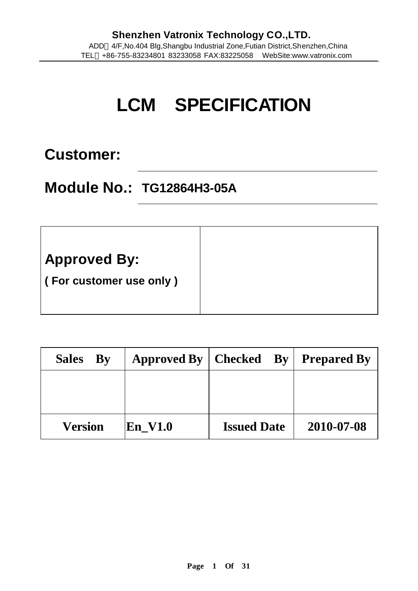# **LCM SPECIFICATION**

# **Customer:**

# **Module No.: TG12864H3-05A**

| <b>Approved By:</b>     |
|-------------------------|
| (For customer use only) |
|                         |

| Sales By       | <b>Approved By</b> | $ $ Checked By     | <b>Prepared By</b> |
|----------------|--------------------|--------------------|--------------------|
|                |                    |                    |                    |
|                |                    |                    |                    |
| <b>Version</b> | En V1.0            | <b>Issued Date</b> | 2010-07-08         |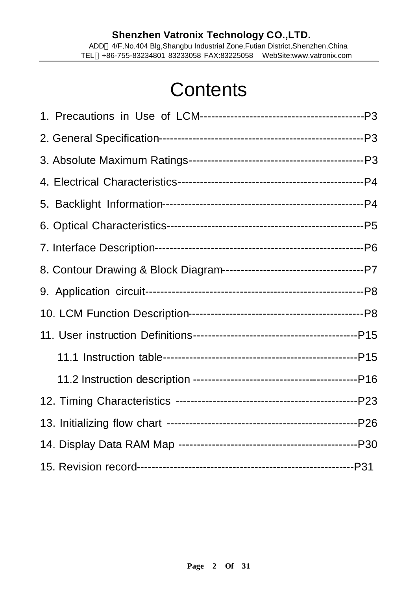# **Contents**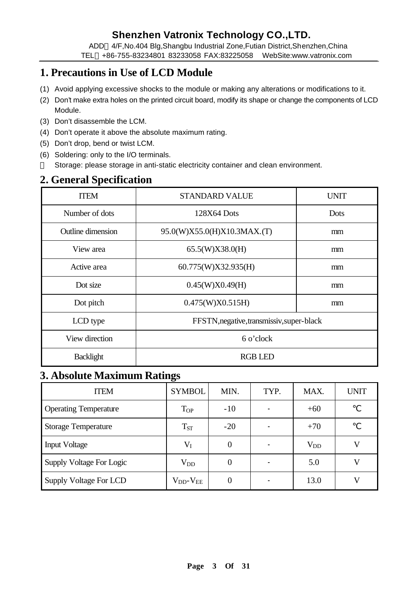ADD 4/F,No.404 Blg,Shangbu Industrial Zone,Futian District,Shenzhen,China TEL +86-755-83234801 83233058 FAX:83225058 WebSite:www.vatronix.com

# **1. Precautions in Use of LCD Module**

- (1) Avoid applying excessive shocks to the module or making any alterations or modifications to it.
- (2) Don't make extra holes on the printed circuit board, modify its shape or change the components of LCD Module.
- (3) Don't disassemble the LCM.
- (4) Don't operate it above the absolute maximum rating.
- (5) Don't drop, bend or twist LCM.
- (6) Soldering: only to the I/O terminals. Storage: please storage in anti-static electricity container and clean environment.

# **2. General Specification**

| <b>ITEM</b>              | <b>STANDARD VALUE</b>                     | <b>UNIT</b> |  |  |
|--------------------------|-------------------------------------------|-------------|--|--|
| Number of dots           | 128X64 Dots                               | Dots        |  |  |
| <b>Outline dimension</b> | 95.0(W)X55.0(H)X10.3MAX.(T)               | mm          |  |  |
| View area                | 65.5(W)X38.0(H)                           | mm          |  |  |
| Active area              | 60.775(W)X32.935(H)                       | mm          |  |  |
| Dot size                 | 0.45(W)X0.49(H)                           | mm          |  |  |
| Dot pitch                | 0.475(W)X0.515H                           | mm          |  |  |
| LCD type                 | FFSTN, negative, transmissiv, super-black |             |  |  |
| View direction           | 6 o'clock                                 |             |  |  |
| Backlight                | <b>RGB LED</b>                            |             |  |  |

### **3. Absolute Maximum Ratings**

| <b>ITEM</b>                  | <b>SYMBOL</b>          | MIN.     | TYP. | MAX.     | <b>UNIT</b> |
|------------------------------|------------------------|----------|------|----------|-------------|
| <b>Operating Temperature</b> | <b>T</b> <sub>OP</sub> | $-10$    |      | $+60$    |             |
| <b>Storage Temperature</b>   | $T_{ST}$               | $-20$    |      | $+70$    |             |
| <b>Input Voltage</b>         | $V_I$                  | $\theta$ |      | $V_{DD}$ |             |
| Supply Voltage For Logic     | $V_{DD}$               |          |      | 5.0      |             |
| Supply Voltage For LCD       | $V_{DD}$ - $V_{EE}$    |          |      | 13.0     |             |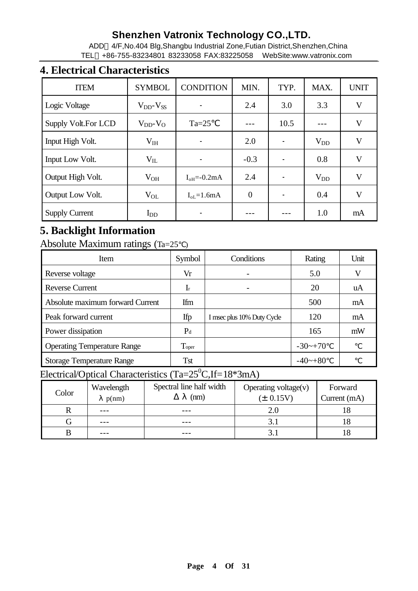ADD 4/F,No.404 Blg,Shangbu Industrial Zone,Futian District,Shenzhen,China TEL +86-755-83234801 83233058 FAX:83225058 WebSite:www.vatronix.com

### **4. Electrical Characteristics**

| <b>ITEM</b>           | <b>SYMBOL</b>       | <b>CONDITION</b>                 | MIN.           | TYP. | MAX.     | <b>UNIT</b>  |
|-----------------------|---------------------|----------------------------------|----------------|------|----------|--------------|
| Logic Voltage         | $V_{DD}$ - $V_{SS}$ |                                  | 2.4            | 3.0  | 3.3      | V            |
| Supply Volt.For LCD   | $V_{DD}$ - $V_{O}$  | $Ta=25$                          |                | 10.5 |          | V            |
| Input High Volt.      | $V_{IH}$            |                                  | 2.0            |      | $V_{DD}$ | $\mathbf{V}$ |
| Input Low Volt.       | $V_{IL}$            |                                  | $-0.3$         |      | 0.8      | V            |
| Output High Volt.     | $V_{OH}$            | $I_{\text{oH}} = -0.2 \text{mA}$ | 2.4            |      | $V_{DD}$ | V            |
| Output Low Volt.      | $V_{OL}$            | $I_{oL} = 1.6mA$                 | $\overline{0}$ |      | 0.4      | V            |
| <b>Supply Current</b> | $I_{DD}$            |                                  |                |      | 1.0      | mA           |

# **5. Backlight Information**

Absolute Maximum ratings (Ta=25 )

| Item                               | Symbol         | Conditions                 | Rating     | Unit |
|------------------------------------|----------------|----------------------------|------------|------|
| Reverse voltage                    | Vr             |                            | 5.0        | V    |
| <b>Reverse Current</b>             | $\mathbf{I}$ r |                            | 20         | uA   |
| Absolute maximum forward Current   | Ifm            |                            | 500        | mA   |
| Peak forward current               | Ifp            | I msec plus 10% Duty Cycle | 120        | mA   |
| Power dissipation                  | $P_d$          |                            | 165        | mW   |
| <b>Operating Temperature Range</b> | Toper          |                            | $-30$ ~+70 |      |
| <b>Storage Temperature Range</b>   | <b>Tst</b>     |                            | $-40$ ~+80 |      |

# Electrical/Optical Characteristics (Ta=25<sup>0</sup>C,If=18\*3mA)

| Color | Wavelength | Spectral line half width | Operating voltage $(v)$ | Forward      |
|-------|------------|--------------------------|-------------------------|--------------|
|       | p(nm)      | (nm)                     | $(\pm 0.15V)$           | Current (mA) |
|       | $- - -$    |                          |                         |              |
|       | $- - -$    | $- - -$                  |                         |              |
|       |            |                          |                         |              |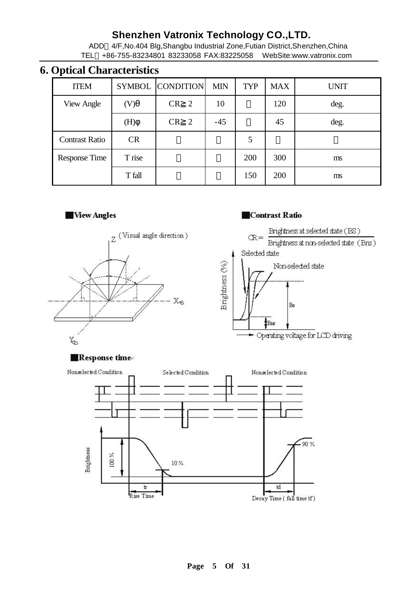ADD 4/F,No.404 Blg,Shangbu Industrial Zone,Futian District,Shenzhen,China TEL +86-755-83234801 83233058 FAX:83225058 WebSite:www.vatronix.com

### **6. Optical Characteristics**

| <b>ITEM</b>           |           | SYMBOL CONDITION | <b>MIN</b> | TYP | <b>MAX</b> | <b>UNIT</b> |
|-----------------------|-----------|------------------|------------|-----|------------|-------------|
| <b>View Angle</b>     | (V)       | CR<br>2          | 10         |     | 120        | deg.        |
|                       | (H)       | CR<br>2          | $-45$      |     | 45         | deg.        |
| <b>Contrast Ratio</b> | <b>CR</b> |                  |            | 5   |            |             |
| Response Time         | T rise    |                  |            | 200 | 300        | ms          |
|                       | T fall    |                  |            | 150 | 200        | ms          |

### **Wew Angles**



### **Contrast Ratio**



#### Response time

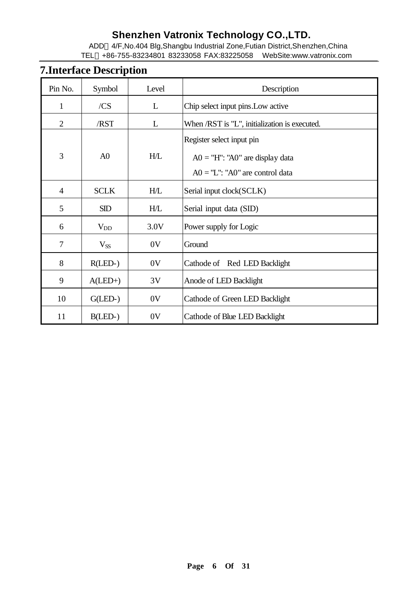ADD 4/F,No.404 Blg,Shangbu Industrial Zone,Futian District,Shenzhen,China TEL +86-755-83234801 83233058 FAX:83225058 WebSite:www.vatronix.com

# **7.Interface Description**

| Pin No.        | Symbol         | Level | Description                                                                                         |  |  |
|----------------|----------------|-------|-----------------------------------------------------------------------------------------------------|--|--|
| $\mathbf{1}$   | /CS            | L     | Chip select input pins. Low active                                                                  |  |  |
| $\overline{2}$ | /RST           | L     | When /RST is "L", initialization is executed.                                                       |  |  |
| 3              | A <sub>0</sub> | H/L   | Register select input pin<br>$AO = "H": "AO"$ are display data<br>$AO = "L": "AO"$ are control data |  |  |
| $\overline{4}$ | <b>SCLK</b>    | H/L   | Serial input clock(SCLK)                                                                            |  |  |
| 5              | SD             | H/L   | Serial input data (SID)                                                                             |  |  |
| 6              | $V_{DD}$       | 3.0V  | Power supply for Logic                                                                              |  |  |
| 7              | $V_{SS}$       | 0V    | Ground                                                                                              |  |  |
| 8              | $R(LED-)$      | 0V    | Cathode of Red LED Backlight                                                                        |  |  |
| 9              | $A(LED+)$      | 3V    | Anode of LED Backlight                                                                              |  |  |
| 10             | $G(LED-)$      | 0V    | Cathode of Green LED Backlight                                                                      |  |  |
| 11             | $B(LED-)$      | 0V    | Cathode of Blue LED Backlight                                                                       |  |  |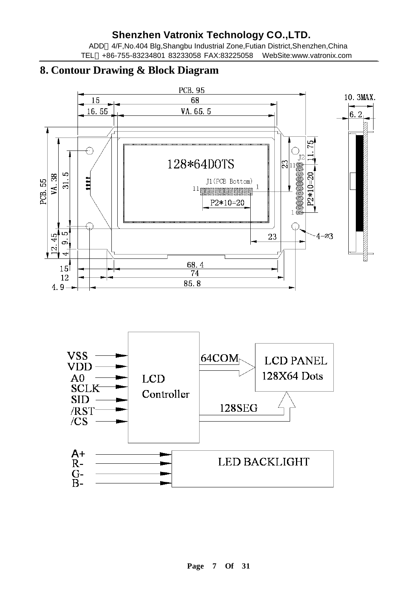ADD 4/F,No.404 Blg,Shangbu Industrial Zone,Futian District,Shenzhen,China TEL +86-755-83234801 83233058 FAX:83225058 WebSite:www.vatronix.com

### **8. Contour Drawing & Block Diagram**



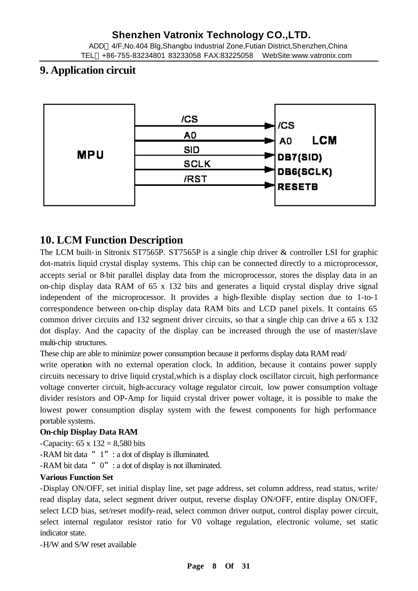#### TEL +86-755-83234801 83233058 FAX:83225058 WebSite:www.vatronix.com

### **9. Application circuit**



### **10. LCM Function Description**

The LCM built-in Sitronix ST7565P. ST7565P is a single chip driver & controller LSI for graphic dot-matrix liquid crystal display systems. This chip can be connected directly to a microprocessor, accepts serial or 8-bit parallel display data from the microprocessor, stores the display data in an on-chip display data RAM of 65 x 132 bits and generates a liquid crystal display drive signal independent of the microprocessor. It provides a high-flexible display section due to 1-to-1 correspondence between on-chip display data RAM bits and LCD panel pixels. It contains 65 common driver circuits and 132 segment driver circuits, so that a single chip can drive a 65 x 132 dot display. And the capacity of the display can be increased through the use of master/slave multi-chip structures.

These chip are able to minimize power consumption because it performs display data RAM read/

write operation with no external operation clock. In addition, because it contains power supply circuits necessary to drive liquid crystal,which is a display clock oscillator circuit, high performance voltage converter circuit, high-accuracy voltage regulator circuit, low power consumption voltage divider resistors and OP-Amp for liquid crystal driver power voltage, it is possible to make the lowest power consumption display system with the fewest components for high performance portable systems.

#### **On-chip Display Data RAM**

-Capacity:  $65 \times 132 = 8,580$  bits

-RAM bit data "1" : a dot of display is illuminated.

-RAM bit data "0": a dot of display is not illuminated.

#### **Various Function Set**

-Display ON/OFF, set initial display line, set page address, set column address, read status, write/ read display data, select segment driver output, reverse display ON/OFF, entire display ON/OFF, select LCD bias, set/reset modify-read, select common driver output, control display power circuit, select internal regulator resistor ratio for V0 voltage regulation, electronic volume, set static indicator state.

-H/W and S/W reset available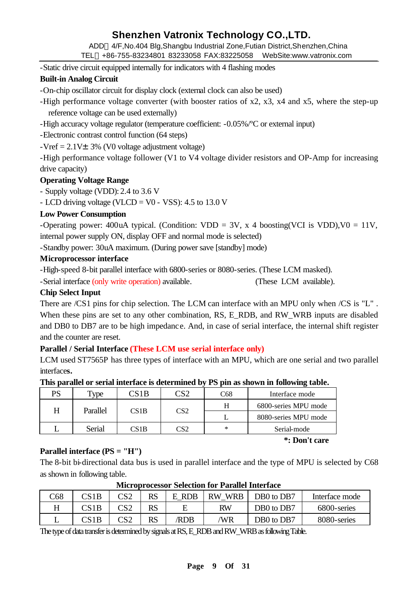ADD 4/F,No.404 Blg,Shangbu Industrial Zone,Futian District,Shenzhen,China

TEL +86-755-83234801 83233058 FAX:83225058 WebSite:www.vatronix.com

-Static drive circuit equipped internally for indicators with 4 flashing modes

### **Built-in Analog Circuit**

-On-chip oscillator circuit for display clock (external clock can also be used)

-High performance voltage converter (with booster ratios of x2, x3, x4 and x5, where the step-up reference voltage can be used externally)

-High accuracy voltage regulator (temperature coefficient: -0.05%/ºC or external input)

-Electronic contrast control function (64 steps)

 $-Veref = 2.1V \pm 3\%$  (V0 voltage adjustment voltage)

-High performance voltage follower (V1 to V4 voltage divider resistors and OP-Amp for increasing drive capacity)

### **Operating Voltage Range**

- Supply voltage (VDD): 2.4 to 3.6 V

- LCD driving voltage (VLCD =  $V0 - VSS$ ): 4.5 to 13.0 V

### **Low Power Consumption**

-Operating power: 400uA typical. (Condition:  $VDD = 3V$ , x 4 boosting(VCI is VDD), V0 = 11V, internal power supply ON, display OFF and normal mode is selected)

-Standby power: 30uA maximum. (During power save [standby] mode)

### **Microprocessor interface**

-High-speed 8-bit parallel interface with 6800-series or 8080-series. (These LCM masked).

-Serial interface (only write operation) available. (These LCM available).

### **Chip Select Input**

There are /CS1 pins for chip selection. The LCM can interface with an MPU only when /CS is "L". When these pins are set to any other combination, RS, E\_RDB, and RW\_WRB inputs are disabled and DB0 to DB7 are to be high impedanc e. And, in case of serial interface, the internal shift register and the counter are reset.

### **Parallel / Serial Interface (These LCM use serial interface only)**

LCM used ST7565P has three types of interface with an MPU, which are one serial and two parallel interface**s.** 

| PS | $v_{\rm vpe}$      | $\sqrt{3}$ | ∩רי | 268 | Interface mode |                      |
|----|--------------------|------------|-----|-----|----------------|----------------------|
|    | Parallel<br>CS 1 B |            | CS2 |     |                | 6800-series MPU mode |
| H  |                    |            |     |     |                |                      |

L Serial CS1B CS2 \* Serial-mode

#### **This parallel or serial interface is determined by PS pin as shown in following table.**

#### **Parallel interface (PS = "H")**

The 8-bit bi-directional data bus is used in parallel interface and the type of MPU is selected by C68 as shown in following table.

 **\*: Don't care**

| C68 | CS 1 B | ിറി | RS | <b>RDB</b> | <b>WRB</b><br>RW | DB0 to DB7 | Interface mode |  |
|-----|--------|-----|----|------------|------------------|------------|----------------|--|
|     |        |     | RS |            | RW               | DB0 to DB7 | 6800-series    |  |
|     |        |     | RS | <b>RDB</b> | /WR              | DB0 to DB7 | 8080-series    |  |

#### **Microprocessor Selection for Parallel Interface**

The type of data transfer is determined by signals at RS, E\_RDB and RW\_WRB as following Table.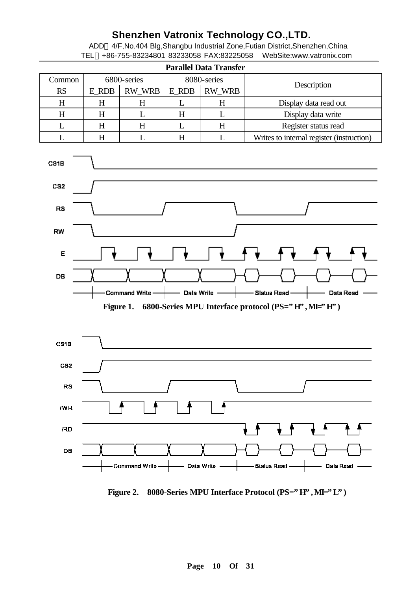ADD 4/F,No.404 Blg,Shangbu Industrial Zone,Futian District,Shenzhen,China TEL +86-755-83234801 83233058 FAX:83225058 WebSite:www.vatronix.com

|                   | <b>Parallel Data Transfer</b> |             |       |               |                                           |  |  |  |  |  |  |  |  |  |
|-------------------|-------------------------------|-------------|-------|---------------|-------------------------------------------|--|--|--|--|--|--|--|--|--|
| Common            |                               | 6800-series |       | 8080-series   | Description                               |  |  |  |  |  |  |  |  |  |
| <b>RS</b>         | E_RDB                         | RW_WRB      | E_RDB | <b>RW_WRB</b> |                                           |  |  |  |  |  |  |  |  |  |
| H                 | H                             | H           | L     | $H_{\rm}$     | Display data read out                     |  |  |  |  |  |  |  |  |  |
| H                 | $H_{\rm}$                     | L           | H     | L             | Display data write                        |  |  |  |  |  |  |  |  |  |
| L                 | H                             | H           | L     | H             | Register status read                      |  |  |  |  |  |  |  |  |  |
|                   | $H_{\rm}$                     |             | H     | L             | Writes to internal register (instruction) |  |  |  |  |  |  |  |  |  |
| CS <sub>1</sub> B |                               |             |       |               |                                           |  |  |  |  |  |  |  |  |  |
| CS <sub>2</sub>   |                               |             |       |               |                                           |  |  |  |  |  |  |  |  |  |
| <b>RS</b>         |                               |             |       |               |                                           |  |  |  |  |  |  |  |  |  |







Figure 2. 8080-Series MPU Interface Protocol (PS="H", MI="L")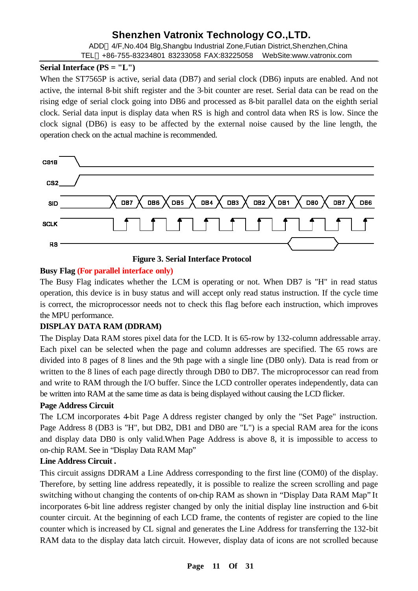ADD 4/F,No.404 Blg,Shangbu Industrial Zone,Futian District,Shenzhen,China TEL +86-755-83234801 83233058 FAX:83225058 WebSite:www.vatronix.com

### **Serial Interface (PS = "L")**

When the ST7565P is active, serial data (DB7) and serial clock (DB6) inputs are enabled. And not active, the internal 8-bit shift register and the 3-bit counter are reset. Serial data can be read on the rising edge of serial clock going into DB6 and processed as 8-bit parallel data on the eighth serial clock. Serial data input is display data when RS is high and control data when RS is low. Since the clock signal (DB6) is easy to be affected by the external noise caused by the line length, the operation check on the actual machine is recommended.



**Figure 3. Serial Interface Protocol**

### **Busy Flag (For parallel interface only)**

The Busy Flag indicates whether the LCM is operating or not. When DB7 is "H" in read status operation, this device is in busy status and will accept only read status instruction. If the cycle time is correct, the microprocessor needs not to check this flag before each instruction, which improves the MPU performance.

### **DISPLAY DATA RAM (DDRAM)**

The Display Data RAM stores pixel data for the LCD. It is 65-row by 132-column addressable array. Each pixel can be selected when the page and column addresses are specified. The 65 rows are divided into 8 pages of 8 lines and the 9th page with a single line (DB0 only). Data is read from or written to the 8 lines of each page directly through DB0 to DB7. The microprocessor can read from and write to RAM through the I/O buffer. Since the LCD controller operates independently, data can be written into RAM at the same time as data is being displayed without causing the LCD flicker.

### **Page Address Circuit**

The LCM incorporates 4-bit Page A ddress register changed by only the "Set Page" instruction. Page Address 8 (DB3 is "H", but DB2, DB1 and DB0 are "L") is a special RAM area for the icons and display data DB0 is only valid.When Page Address is above 8, it is impossible to access to on-chip RAM. See in "Display Data RAM Map"

### **Line Address Circuit .**

This circuit assigns DDRAM a Line Address corresponding to the first line (COM0) of the display. Therefore, by setting line address repeatedly, it is possible to realize the screen scrolling and page switching without changing the contents of on-chip RAM as shown in "Display Data RAM Map" It incorporates 6-bit line address register changed by only the initial display line instruction and 6-bit counter circuit. At the beginning of each LCD frame, the contents of register are copied to the line counter which is increased by CL signal and generates the Line Address for transferring the 132-bit RAM data to the display data latch circuit. However, display data of icons are not scrolled because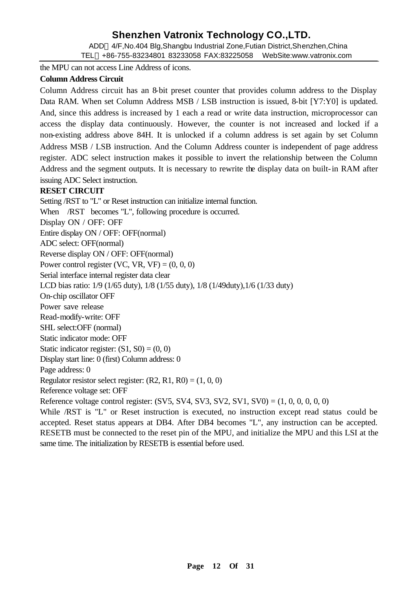ADD 4/F,No.404 Blg,Shangbu Industrial Zone,Futian District,Shenzhen,China TEL +86-755-83234801 83233058 FAX:83225058 WebSite:www.vatronix.com

the MPU can not access Line Address of icons.

#### **Column Address Circuit**

Column Address circuit has an 8-bit preset counter that provides column address to the Display Data RAM. When set Column Address MSB / LSB instruction is issued, 8-bit [Y7:Y0] is updated. And, since this address is increased by 1 each a read or write data instruction, microprocessor can access the display data continuously. However, the counter is not increased and locked if a non-existing address above 84H. It is unlocked if a column address is set again by set Column Address MSB / LSB instruction. And the Column Address counter is independent of page address register. ADC select instruction makes it possible to invert the relationship between the Column Address and the segment outputs. It is necessary to rewrite the display data on built-in RAM after issuing ADC Select instruction.

#### **RESET CIRCUIT**

Setting /RST to "L" or Reset instruction can initialize internal function. When /RST becomes "L", following procedure is occurred. Display ON / OFF: OFF Entire display ON / OFF: OFF(normal) ADC select: OFF(normal) Reverse display ON / OFF: OFF(normal) Power control register (VC, VR, VF) =  $(0, 0, 0)$ Serial interface internal register data clear LCD bias ratio: 1/9 (1/65 duty), 1/8 (1/55 duty), 1/8 (1/49duty),1/6 (1/33 duty) On-chip oscillator OFF Power save release Read-modify-write: OFF SHL select:OFF (normal) Static indicator mode: OFF Static indicator register:  $(S1, S0) = (0, 0)$ Display start line: 0 (first) Column address: 0 Page address: 0 Regulator resistor select register:  $(R2, R1, R0) = (1, 0, 0)$ Reference voltage set: OFF Reference voltage control register:  $(SV5, SV4, SV3, SV2, SV1, SV0) = (1, 0, 0, 0, 0, 0)$ While /RST is "L" or Reset instruction is executed, no instruction except read status could be accepted. Reset status appears at DB4. After DB4 becomes "L", any instruction can be accepted. RESETB must be connected to the reset pin of the MPU, and initialize the MPU and this LSI at the same time. The initialization by RESETB is essential before used.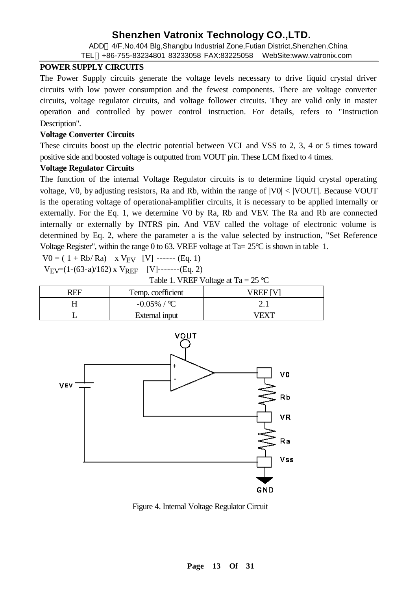ADD 4/F,No.404 Blg,Shangbu Industrial Zone,Futian District,Shenzhen,China

#### TEL +86-755-83234801 83233058 FAX:83225058 WebSite:www.vatronix.com

#### **POWER SUPPLY CIRCUITS**

The Power Supply circuits generate the voltage levels necessary to drive liquid crystal driver circuits with low power consumption and the fewest components. There are voltage converter circuits, voltage regulator circuits, and voltage follower circuits. They are valid only in master operation and controlled by power control instruction. For details, refers to "Instruction Description".

#### **Voltage Converter Circuits**

These circuits boost up the electric potential between VCI and VSS to 2, 3, 4 or 5 times toward positive side and boosted voltage is outputted from VOUT pin. These LCM fixed to 4 times.

#### **Voltage Regulator Circuits**

The function of the internal Voltage Regulator circuits is to determine liquid crystal operating voltage, V0, by adjusting resistors, Ra and Rb, within the range of |V0| < |VOUT|. Because VOUT is the operating voltage of operational-amplifier circuits, it is necessary to be applied internally or externally. For the Eq. 1, we determine V0 by Ra, Rb and VEV. The Ra and Rb are connected internally or externally by INTRS pin. And VEV called the voltage of electronic volume is determined by Eq. 2, where the parameter a is the value selected by instruction, "Set Reference Voltage Register", within the range 0 to 63. VREF voltage at  $Ta = 25^{\circ}C$  is shown in table 1.

 $V0 = (1 + Rb/Ra)$  x  $V_{FV}$  [V] ------ (Eq. 1)

$$
V_{EV}=(1-(63-a)/162) \times V_{REF}
$$
 [V]-----(Eq. 2)

Table 1. VREF Voltage at Ta =  $25 \text{ °C}$ 

| ? EE | Temp. coefficient |  |
|------|-------------------|--|
|      | $-0.05\%$ / °C    |  |
|      | External input    |  |



Figure 4. Internal Voltage Regulator Circuit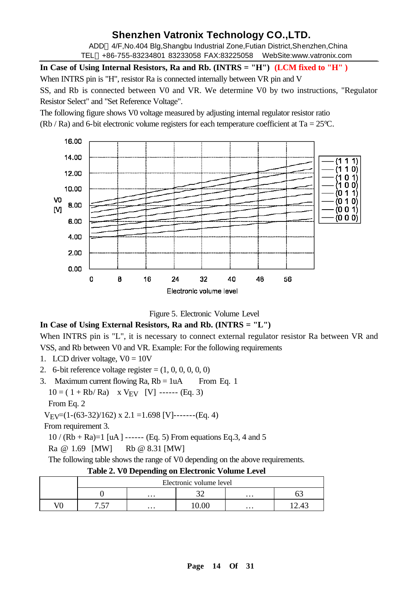ADD 4/F,No.404 Blg,Shangbu Industrial Zone,Futian District,Shenzhen,China TEL +86-755-83234801 83233058 FAX:83225058 WebSite:www.vatronix.com

**In Case of Using Internal Resistors, Ra and Rb. (INTRS = "H") (LCM fixed to "H" )**

When INTRS pin is "H", resistor Ra is connected internally between VR pin and V

SS, and Rb is connected between V0 and VR. We determine V0 by two instructions, "Regulator Resistor Select" and "Set Reference Voltage".

The following figure shows V0 voltage measured by adjusting internal regulator resistor ratio (Rb / Ra) and 6-bit electronic volume registers for each temperature coefficient at Ta =  $25^{\circ}$ C.



Figure 5. Electronic Volume Level

#### **In Case of Using External Resistors, Ra and Rb. (INTRS = "L")**

When INTRS pin is "L", it is necessary to connect external regulator resistor Ra between VR and VSS, and Rb between V0 and VR. Example: For the following requirements

- 1. LCD driver voltage,  $V0 = 10V$
- 2. 6-bit reference voltage register  $=(1, 0, 0, 0, 0, 0)$
- 3. Maximum current flowing  $Ra$ ,  $Rb = 1uA$  From Eq. 1

 $10 = (1 + Rb/Ra)$  x V<sub>EV</sub> [V] ------ (Eq. 3)

From Eq. 2

 $V_{\text{EV}}=(1-(63-32)/162) \times 2.1 = 1.698 \text{ [V]}$ ------(Eq. 4)

From requirement 3.

 $10 / (Rb + Ra) = 1$  [uA ] ------ (Eq. 5) From equations Eq.3, 4 and 5

Ra @ 1.69 [MW] Rb @ 8.31 [MW]

The following table shows the range of V0 depending on the above requirements.

|              |                                         |                      | Electronic volume level |          |  |  |  |  |  |  |
|--------------|-----------------------------------------|----------------------|-------------------------|----------|--|--|--|--|--|--|
|              |                                         | $\cdots$             |                         | $\cdots$ |  |  |  |  |  |  |
| $\mathbf{H}$ | $\epsilon$ $\epsilon$ $\tau$<br>$\cdot$ | $\cdots$<br>$\cdots$ |                         |          |  |  |  |  |  |  |

|  | Table 2. V0 Depending on Electronic Volume Level |  |  |
|--|--------------------------------------------------|--|--|
|--|--------------------------------------------------|--|--|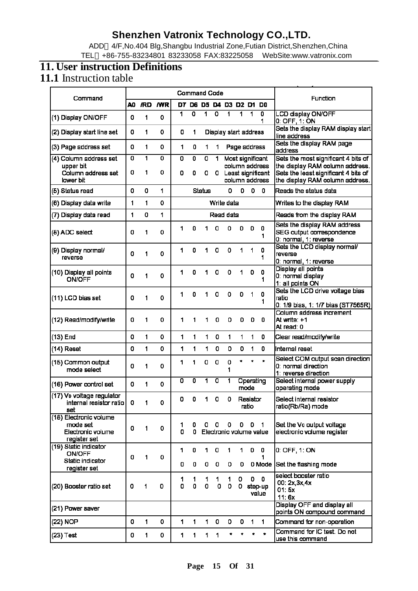ADD 4/F,No.404 Blg,Shangbu Industrial Zone,Futian District,Shenzhen,China TEL +86-755-83234801 83233058 FAX:83225058 WebSite:www.vatronix.com

### **11. User instruction Definitions**

### **11.1** Instruction table

| Command                                                                 |    |     |            |        | <b>Command Code</b>       |               |                           |                              |        |                   |                                     | Function                                                                                                   |
|-------------------------------------------------------------------------|----|-----|------------|--------|---------------------------|---------------|---------------------------|------------------------------|--------|-------------------|-------------------------------------|------------------------------------------------------------------------------------------------------------|
|                                                                         | A0 | /RD | <b>NVR</b> | D7.    |                           |               |                           | D6 D5 D4 D3 D2 D1            |        |                   | DO                                  |                                                                                                            |
| (1) Display ON/OFF                                                      | o  | 1   | 0          | 1      | $\overline{\mathfrak{o}}$ | 1             | $\overline{\mathfrak{o}}$ | 1                            | 1      | 1                 | $\overline{\mathfrak{o}}$<br>1      | <b>LCD display ON/OFF</b><br>0: OFF, 1: ON                                                                 |
| (2) Display start line set                                              | 0  | 1   | 0          | 0      | 1.                        |               |                           | Display start address        |        |                   |                                     | Sets the display RAM display start<br>line address                                                         |
| (3) Page address set                                                    | 0  | 1   | 0          | 1      | 0                         | 1             | 1                         |                              |        | Page address      |                                     | Sets the display RAM page<br>address                                                                       |
| (4) Column address set                                                  | o  | 1   | $\Omega$   | 0      | 0                         | 0             | 1.                        |                              |        |                   | Most significant<br>column address  | Sets the most significant 4 bits of                                                                        |
| upper bit<br>Column address set<br>lawer bit                            | 0  | 1   | 0          | 0      | 0                         | 0             | 0.                        |                              |        |                   | Least significant<br>column address | the display RAM column address.<br>Sets the least significant 4 bits of<br>the display RAM column address. |
| (5) Status read                                                         | 0  | 0   | 1          |        |                           | <b>Status</b> |                           | 0                            | 0      | 0 <sub>0</sub>    |                                     | Reads the status data                                                                                      |
| (6) Display data write                                                  | 1  | 1   | 0          |        |                           |               |                           | Write data                   |        |                   |                                     | Writes to the display RAM                                                                                  |
| (7) Display data read                                                   | 1  | 0   | 1          |        |                           |               |                           | Read data                    |        |                   |                                     | Reads from the display RAM                                                                                 |
| (8) ADC select                                                          | 0  | 1   | 0          | 1      | 0                         | 1             | 0                         | 0                            | 0      | o                 | 0<br>1                              | Sets the display RAM address<br>SEG output correspondence<br>0: normal, 1: reverse                         |
| (9) Display normal/<br>reverse                                          | 0  | 1   | 0          | 1      | 0                         | 1             | 0                         | 0                            | 1      | 1                 | 0<br>1                              | Sets the LCD display normal/<br>reverse<br>0: normal, 1: reverse                                           |
| (10) Display all points<br><b>ON/OFF</b>                                | 0  | 1   | 0          | 1      | 0                         | 1             | 0                         | ٥                            | 1      | 0                 | 0<br>1                              | Display all points<br>0: normal display<br>1: all points ON                                                |
| (11) LCD bias set                                                       | 0  | 1   | 0          | 1      | 0                         | 1             | 0                         | 0                            | 0      | 1                 | 0<br>1                              | Sets the LCD drive voltage bias<br>Iratio<br>0: 1/9 bias, 1: 1/7 bias (ST7565R)                            |
| (12) Read/modify/write                                                  | 0  | 1   | 0          | 1      | 1                         | 1             | 0                         | 0                            | 0      | o                 | 0                                   | Column address increment<br>At write: +1<br>At read: 0                                                     |
| (13) End                                                                | 0  | 1   | 0          | 1      | 1                         | 1.            | 0                         | 1                            | 1      | 1                 | 0                                   | Clear read/modify/write                                                                                    |
| (14) Reset                                                              | 0  | 1   | 0          | 1      | 1                         | 1.            | o                         | 0                            | 0      | 1                 | 0                                   | Internal reset                                                                                             |
| (15) Common output<br>mode select                                       | o  | 1   | 0          | 1      | 1                         | 0             | 0                         | 0<br>1                       | ۰      | $\star$           | $\bullet$                           | Select COM output scan direction<br>0: normal direction<br>1: reverse direction                            |
| (16) Power control set                                                  | 0  | 1   | 0          | 0      | 0                         | 1             | 0                         | 1                            |        | Operating<br>mode |                                     | Select internal power supply<br>operating mode                                                             |
| (17) Vo voltage regulator<br>internal resistor ratio<br>set             | 0  | - 1 | 0          | 0      | 0                         | 1.            | 0                         | 0                            |        | Resistor<br>ratio |                                     | Select internal resistor<br>ratio(Rb/Ra) mode                                                              |
| (18) Electronic volume<br>mode set<br>Electronic volume<br>register set | o  | 1   | 0          | 1<br>0 | 0<br>0                    | 0.            | 0                         | 0<br>Electronic volume value |        | $0$ 0             | $\blacksquare$                      | Set the Vo output voltage<br>electronic volume register                                                    |
| (19) Static indicator<br><b>ON/OFF</b>                                  | 0  | 1   | 0          | 1      | 0                         | 1.            | o                         | 1                            | 1      | 0                 | 0<br>1                              | 0: OFF, 1: ON                                                                                              |
| Static indicator<br>register set                                        |    |     |            | 0      | 0                         | 0             | 0                         | 0                            | 0      |                   | 0 Mode                              | Set the flashing mode                                                                                      |
| (20) Booster ratio set                                                  | 0  | 1   | o          | 1<br>0 | 1<br>0                    | 1<br>0        | 1<br>0                    | 1<br>0                       | 0<br>0 |                   | $0\quad 0$<br>step-up<br>value      | select booster ratio<br>00: 2x, 3x, 4x<br>01:5x<br>11:6x                                                   |
| (21) Power saver                                                        |    |     |            |        |                           |               |                           |                              |        |                   |                                     | Display OFF and display all<br>points ON compound command                                                  |
| (22) NOP                                                                | 0  | 1   | 0          | 1      | 1.                        | 1.            | 0                         | 0                            | 0      | 1                 | 1.                                  | Command for non-operation                                                                                  |
| (23) Test                                                               | 0  | 1   | 0          | 1      | 1.                        | 1.            | 1                         | *                            |        | *                 | $\star$                             | Command for IC test. Do not<br>use this command                                                            |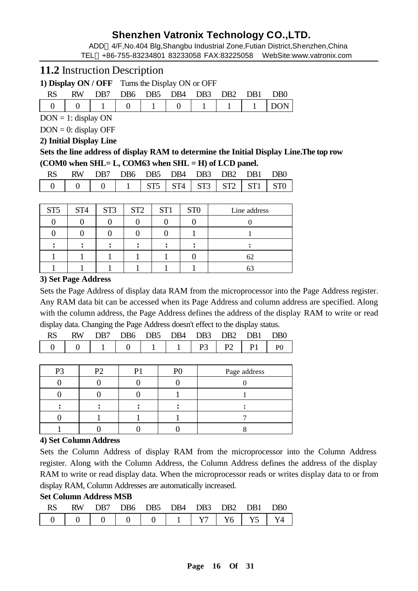ADD 4/F,No.404 Blg,Shangbu Industrial Zone,Futian District,Shenzhen,China TEL +86-755-83234801 83233058 FAX:83225058 WebSite:www.vatronix.com

### **11.2** Instruction Description

**1) Display ON / OFF** Turns the Display ON or OFF

| <b>RS</b> | RW DB7 DB6 DB5 DB4 DB3 DB2 DB1 DB0 |  |  |  |  |
|-----------|------------------------------------|--|--|--|--|
|           |                                    |  |  |  |  |

 $DOM = 1$ : display ON

 $DOM = 0$ : display OFF

#### **2) Initial Display Line**

**Sets the line address of display RAM to determine the Initial Display Line.The top row (COM0 when SHL= L, COM63 when SHL = H) of LCD panel.**

|  | RW DB7 DB6 DB5 DB4 DB3 DB2 DB1 DB0 |  |  |  |  |
|--|------------------------------------|--|--|--|--|
|  |                                    |  |  |  |  |

| ST <sub>5</sub> | ST <sub>4</sub> | ST <sub>3</sub> | ST <sub>2</sub> | ST <sub>1</sub> | ST <sub>0</sub> | Line address |
|-----------------|-----------------|-----------------|-----------------|-----------------|-----------------|--------------|
|                 |                 |                 |                 |                 |                 |              |
|                 |                 |                 |                 |                 |                 |              |
|                 |                 |                 |                 |                 |                 |              |
|                 |                 |                 |                 |                 |                 | 62           |
|                 |                 |                 |                 |                 |                 | ΟĽ           |

#### **3) Set Page Address**

Sets the Page Address of display data RAM from the microprocessor into the Page Address register. Any RAM data bit can be accessed when its Page Address and column address are specified. Along with the column address, the Page Address defines the address of the display RAM to write or read display data. Changing the Page Address doesn't effect to the display status.

|  |  | RW DB7 DB6 DB5 DB4 DB3 DB2 DB1 DB0 |  |  |
|--|--|------------------------------------|--|--|
|  |  |                                    |  |  |

| P <sub>2</sub> | P <sub>2</sub> | ח | D | Page address |
|----------------|----------------|---|---|--------------|
|                |                |   |   |              |
|                |                |   |   |              |
|                |                |   |   |              |
|                |                |   |   |              |
|                |                |   |   |              |

#### **4) Set Column Address**

Sets the Column Address of display RAM from the microprocessor into the Column Address register. Along with the Column Address, the Column Address defines the address of the display RAM to write or read display data. When the microprocessor reads or writes display data to or from display RAM, Column Addresses are automatically increased.

#### **Set Column Address MSB**

| RW.           |  | DB7 DB6 DB5 DB4 DB3 DB2 DB1 |  | D <sub>R0</sub> |
|---------------|--|-----------------------------|--|-----------------|
| $\Box$ $\Box$ |  |                             |  |                 |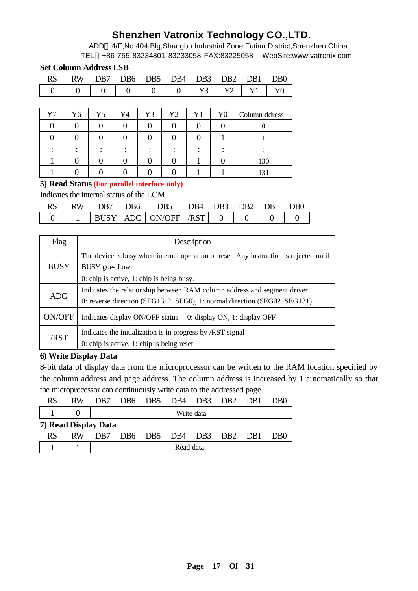ADD 4/F,No.404 Blg,Shangbu Industrial Zone,Futian District,Shenzhen,China TEL +86-755-83234801 83233058 FAX:83225058 WebSite:www.vatronix.com

|           | <b>Set Column Address LSB</b> |                  |                 |                   |                 |                   |                 |                 |                             |
|-----------|-------------------------------|------------------|-----------------|-------------------|-----------------|-------------------|-----------------|-----------------|-----------------------------|
| <b>RS</b> | <b>RW</b>                     | D <sub>B</sub> 7 | D <sub>B6</sub> | DB <sub>5</sub>   | DB <sub>4</sub> | DB <sub>3</sub>   | DB <sub>2</sub> | D <sub>B1</sub> | D <sub>B</sub> <sup>0</sup> |
|           | $\mathbf{0}$                  | 0                | 0               | 0                 | $\overline{0}$  | Y3                | Y2              | Y1              | Y0                          |
|           |                               |                  |                 |                   |                 |                   |                 |                 |                             |
| Y7        | Y <sub>6</sub>                | Y5               | Y4              | Y3                | Y2              | Y1                | Y0              | Column ddress   |                             |
|           | 0                             |                  | 0               | 0                 | $\Omega$        | $\Omega$          | 0               |                 |                             |
|           | 0                             | 0                | 0               | $\mathbf{\Omega}$ | $\Omega$        | $\mathbf{\Omega}$ |                 |                 |                             |
|           |                               |                  |                 |                   |                 |                   |                 |                 |                             |
|           |                               |                  | 0               |                   | 0               |                   | 0               | 130             |                             |
|           |                               |                  |                 |                   |                 |                   |                 | 131             |                             |

#### **5) Read Status (For parallel interface only)**

Indicates the internal status of the LCM

| RW. | DB7 | DB6 | DB5 DB4 DB3 DB2 DB1 DB0         |  |  |  |
|-----|-----|-----|---------------------------------|--|--|--|
|     |     |     | $1$ BUSY ADC ON/OFF AST 0 0 0 0 |  |  |  |

| Flag        | Description                                                                                                                                           |
|-------------|-------------------------------------------------------------------------------------------------------------------------------------------------------|
| <b>BUSY</b> | The device is busy when internal operation or reset. Any instruction is rejected until<br>BUSY goes Low.<br>0: chip is active, 1: chip is being busy. |
| ADC         | Indicates the relationship between RAM column address and segment driver<br>0: reverse direction (SEG131? SEG0), 1: normal direction (SEG0? SEG131)   |
| ON/OFF      | Indicates display ON/OFF status<br>0: display ON, 1: display OFF                                                                                      |
| /RST        | Indicates the initialization is in progress by /RST signal<br>0: chip is active, 1: chip is being reset                                               |

#### **6) Write Display Data**

8-bit data of display data from the microprocessor can be written to the RAM location specified by the column address and page address. The column address is increased by 1 automatically so that the microprocessor can continuously write data to the addressed page.

| RS                   | RW | DB7 |            | DB6 DB5 DB4                     |           | DB3 DB2 |                 | - DB1 | DB <sub>0</sub> |  |  |
|----------------------|----|-----|------------|---------------------------------|-----------|---------|-----------------|-------|-----------------|--|--|
|                      |    |     | Write data |                                 |           |         |                 |       |                 |  |  |
| 7) Read Display Data |    |     |            |                                 |           |         |                 |       |                 |  |  |
| RS                   | RW | DB7 |            | DB <sub>6</sub> DB <sub>5</sub> | DB4 DB3   |         | DB <sub>2</sub> | - DB1 | DB <sub>0</sub> |  |  |
|                      |    |     |            |                                 | Read data |         |                 |       |                 |  |  |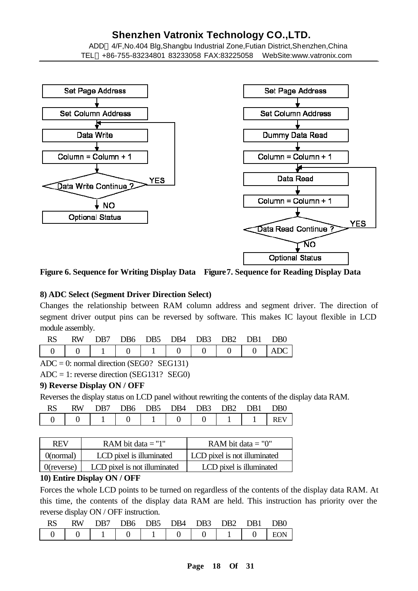ADD 4/F,No.404 Blg,Shangbu Industrial Zone,Futian District,Shenzhen,China TEL +86-755-83234801 83233058 FAX:83225058 WebSite:www.vatronix.com



**Figure 6. Sequence for Writing Display Data Figure7. Sequence for Reading Display Data**

#### **8) ADC Select (Segment Driver Direction Select)**

Changes the relationship between RAM column address and segment driver. The direction of segment driver output pins can be reversed by software. This makes IC layout flexible in LCD module assembly.

| <b>RW</b> | DB7 - |  | DB6 DB5 DB4 DB3 DB2 DB1 DB0   |  |  |
|-----------|-------|--|-------------------------------|--|--|
|           |       |  | 1 1 0 1 1 0 0 0 0 0 0 0 0 0 0 |  |  |

 $ADC = 0$ : normal direction (SEG0? SEG131)

ADC = 1: reverse direction (SEG131? SEG0)

#### **9) Reverse Display ON / OFF**

Reverses the display status on LCD panel without rewriting the contents of the display data RAM.

|  | DB7 |  | DB6 DB5 DB4 DB3 DB2 DB1             |  | D <sub>R0</sub> |
|--|-----|--|-------------------------------------|--|-----------------|
|  |     |  | 0   1   0   1   0   0   1   1   REV |  |                 |

| <b>REV</b>    | RAM bit data $=$ "1"         | RAM bit data $=$ "0"         |
|---------------|------------------------------|------------------------------|
| ()(normal)    | LCD pixel is illuminated     | LCD pixel is not illuminated |
| $0$ (reverse) | LCD pixel is not illuminated | LCD pixel is illuminated     |

#### **10) Entire Display ON / OFF**

Forces the whole LCD points to be turned on regardless of the contents of the display data RAM. At this time, the contents of the display data RAM are held. This instruction has priority over the reverse display ON / OFF instruction.

|  |  | RS RW DB7 DB6 DB5 DB4 DB3 DB2 DB1 DB0 |  |  |
|--|--|---------------------------------------|--|--|
|  |  |                                       |  |  |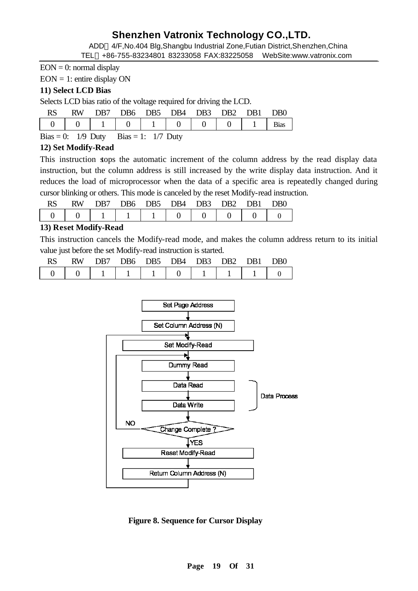ADD 4/F,No.404 Blg,Shangbu Industrial Zone,Futian District,Shenzhen,China

TEL +86-755-83234801 83233058 FAX:83225058 WebSite:www.vatronix.com

 $EON = 0$ : normal display

 $EON = 1$ : entire display ON

#### **11) Select LCD Bias**

Selects LCD bias ratio of the voltage required for driving the LCD.

| <b>RS</b> | <b>RW</b> | DB7 |  | DB6 DB5 DB4 DB3 DB2 DB1 |  | D <sub>B</sub> O |
|-----------|-----------|-----|--|-------------------------|--|------------------|
|           |           |     |  |                         |  | <b>Bias</b>      |

Bias = 0:  $1/9$  Duty Bias = 1:  $1/7$  Duty

### **12) Set Modify-Read**

This instruction stops the automatic increment of the column address by the read display data instruction, but the column address is still increased by the write display data instruction. And it reduces the load of microprocessor when the data of a specific area is repeatedly changed during cursor blinking or others. This mode is canceled by the reset Modify-read instruction.

| <b>RS</b> | RW. |  | DB7 DB6 DB5 DB4 DB3 DB2 DB1 |  | D <sub>R0</sub> |
|-----------|-----|--|-----------------------------|--|-----------------|
|           |     |  |                             |  |                 |

### **13) Reset Modify-Read**

This instruction cancels the Modify-read mode, and makes the column address return to its initial value just before the set Modify-read instruction is started.

| KS. | <b>RW</b> | DB7 |  | DB6 DB5 DB4 DB3 |  | DR <sub>2</sub> DR <sub>1</sub> | D <sub>B</sub> 0 |
|-----|-----------|-----|--|-----------------|--|---------------------------------|------------------|
|     |           |     |  |                 |  |                                 |                  |



 **Figure 8. Sequence for Cursor Display**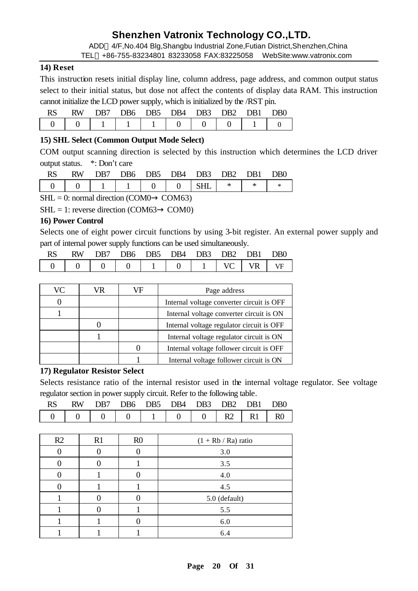ADD 4/F,No.404 Blg,Shangbu Industrial Zone,Futian District,Shenzhen,China

#### TEL +86-755-83234801 83233058 FAX:83225058 WebSite:www.vatronix.com

#### **14) Reset**

This instruction resets initial display line, column address, page address, and common output status select to their initial status, but dose not affect the contents of display data RAM. This instruction cannot initialize the LCD power supply, which is initialized by the /RST pin.

| RW | DB7. |  | DB6 DB5 DB4 DB3 DB2 DB1 |  | D <sub>R0</sub> |
|----|------|--|-------------------------|--|-----------------|
|    |      |  | 1 1 1 1 1 1 0 1 0       |  |                 |

#### **15) SHL Select (Common Output Mode Select)**

COM output scanning direction is selected by this instruction which determines the LCD driver output status. \*: Don't care

| RW | DR7          |  | DB6 DB5 DB4 DB3 DB2 DB1 |  | DB0 |
|----|--------------|--|-------------------------|--|-----|
|    | $-1$ 1 1 0 0 |  | $\sim$ SHI I            |  |     |

 $SHL = 0$ : normal direction (COM0 COM63)

 $SHL = 1$ : reverse direction (COM63 COM0)

#### **16) Power Control**

Selects one of eight power circuit functions by using 3-bit register. An external power supply and part of internal power supply functions can be used simultaneously.

| <b>RS</b> |  |  | RW DB7 DB6 DB5 DB4 DB3 DB2 DB1 DB0 |  |  |
|-----------|--|--|------------------------------------|--|--|
|           |  |  |                                    |  |  |

| VC | VR. | /F | Page address                              |
|----|-----|----|-------------------------------------------|
|    |     |    | Internal voltage converter circuit is OFF |
|    |     |    | Internal voltage converter circuit is ON  |
|    |     |    | Internal voltage regulator circuit is OFF |
|    |     |    | Internal voltage regulator circuit is ON  |
|    |     |    | Internal voltage follower circuit is OFF  |
|    |     |    | Internal voltage follower circuit is ON   |

#### **17) Regulator Resistor Select**

Selects resistance ratio of the internal resistor used in the internal voltage regulator. See voltage regulator section in power supply circuit. Refer to the following table.

| RW. |  | DB7 DB6 DB5 DB4 DB3 DB2 DB1 DB0 |  |  |
|-----|--|---------------------------------|--|--|
|     |  |                                 |  |  |

| R2 | R1 | R <sub>0</sub> | $(1 + Rb / Ra)$ ratio |
|----|----|----------------|-----------------------|
|    |    |                | 3.0                   |
|    |    |                | 3.5                   |
|    |    |                | 4.0                   |
|    |    |                | 4.5                   |
|    |    |                | 5.0 (default)         |
|    |    |                | 5.5                   |
|    |    |                | 6.0                   |
|    |    |                | 6.4                   |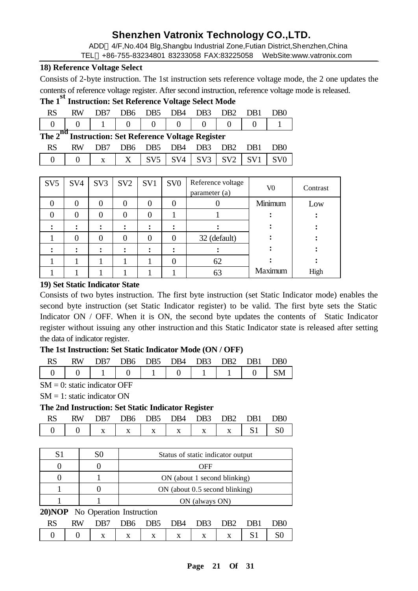ADD 4/F,No.404 Blg,Shangbu Industrial Zone,Futian District,Shenzhen,China TEL +86-755-83234801 83233058 FAX:83225058 WebSite:www.vatronix.com

#### **18) Reference Voltage Select**

Consists of 2-byte instruction. The 1st instruction sets reference voltage mode, the 2 one updates the contents of reference voltage register. After second instruction, reference voltage mode is released.

### **The 1st Instruction: Set Reference Voltage Select Mode**

| RW. | DB7 |  | DB6 DB5 DB4 DB3 DB2 DB1     |  | D <sub>R0</sub> |
|-----|-----|--|-----------------------------|--|-----------------|
|     |     |  | 1 0 1 1 0 1 0 1 0 1 0 0 0 0 |  |                 |

### **The 2nd Instruction: Set Reference Voltage Register**

|  | RW DB7 DB6 DB5 DB4 DB3 DB2 DB1 DB0 |  |  |  |
|--|------------------------------------|--|--|--|
|  |                                    |  |  |  |

| SV <sub>5</sub> | SV <sub>4</sub> | SV <sub>3</sub> | SV <sub>2</sub> | SV1 | SV <sub>0</sub> | Reference voltage<br>parameter (a) | V0      | Contrast |
|-----------------|-----------------|-----------------|-----------------|-----|-----------------|------------------------------------|---------|----------|
|                 | 0               | 0               | 0               | 0   | 0               |                                    | Minimum | Low      |
|                 | 0               | 0               | 0               | 0   |                 |                                    |         |          |
|                 |                 |                 |                 |     |                 |                                    |         |          |
|                 | 0               | 0               | 0               | 0   | $\theta$        | 32 (default)                       |         |          |
|                 |                 |                 |                 |     |                 |                                    |         |          |
|                 |                 |                 |                 |     | 0               | 62                                 |         |          |
|                 |                 |                 |                 |     |                 | 63                                 | Maximum | High     |

#### **19) Set Static Indicator State**

Consists of two bytes instruction. The first byte instruction (set Static Indicator mode) enables the second byte instruction (set Static Indicator register) to be valid. The first byte sets the Static Indicator ON / OFF. When it is ON, the second byte updates the contents of Static Indicator register without issuing any other instruction and this Static Indicator state is released after setting the data of indicator register.

#### **The 1st Instruction: Set Static Indicator Mode (ON / OFF)**

| RW | DR7. |  | DB6 DB5 DB4 DB3             |  | DR <sub>2</sub> DR <sub>1</sub> | D <sub>B</sub> O |
|----|------|--|-----------------------------|--|---------------------------------|------------------|
|    |      |  | $1 0 1 1 0 1 1 0 1 1 1 1 0$ |  |                                 |                  |

 $SM = 0$ : static indicator OFF

 $SM = 1$ : static indicator ON

#### **The 2nd Instruction: Set Static Indicator Register**

| <b>RW</b> | DB7 |  | DB6 DB5 DB4 DB3 DB2 DB1 |  | D <sub>B</sub> O |
|-----------|-----|--|-------------------------|--|------------------|
|           |     |  |                         |  |                  |

| S1                                     | S0 | Status of static indicator output |  |  |  |  |
|----------------------------------------|----|-----------------------------------|--|--|--|--|
|                                        |    | OFF                               |  |  |  |  |
|                                        |    | ON (about 1 second blinking)      |  |  |  |  |
|                                        |    | ON (about 0.5 second blinking)    |  |  |  |  |
|                                        |    | ON (always ON)                    |  |  |  |  |
| <b>20)NOP</b> No Operation Instruction |    |                                   |  |  |  |  |

|  |  | RW DB7 DB6 DB5 DB4 DB3 DB2 DB1 DB0 |  |  |
|--|--|------------------------------------|--|--|
|  |  |                                    |  |  |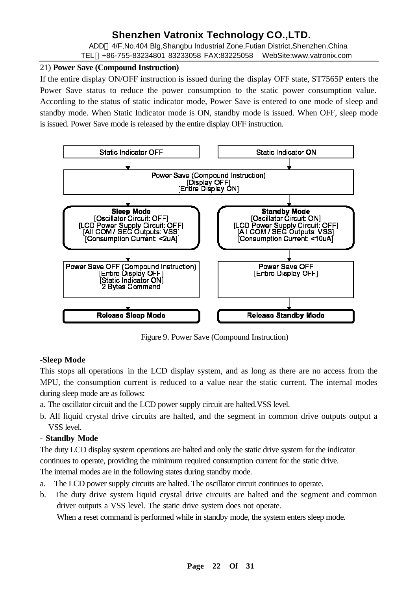ADD 4/F,No.404 Blg,Shangbu Industrial Zone,Futian District,Shenzhen,China TEL +86-755-83234801 83233058 FAX:83225058 WebSite:www.vatronix.com

#### 21) **Power Save (Compound Instruction)**

If the entire display ON/OFF instruction is issued during the display OFF state, ST7565P enters the Power Save status to reduce the power consumption to the static power consumption value. According to the status of static indicator mode, Power Save is entered to one mode of sleep and standby mode. When Static Indicator mode is ON, standby mode is issued. When OFF, sleep mode is issued. Power Save mode is released by the entire display OFF instruction.



Figure 9. Power Save (Compound Instruction)

### **-Sleep Mode**

This stops all operations in the LCD display system, and as long as there are no access from the MPU, the consumption current is reduced to a value near the static current. The internal modes during sleep mode are as follows:

- a. The oscillator circuit and the LCD power supply circuit are halted.VSS level.
- b. All liquid crystal drive circuits are halted, and the segment in common drive outputs output a VSS level.

#### **- Standby Mode**

The duty LCD display system operations are halted and only the static drive system for the indicator continues to operate, providing the minimum required consumption current for the static drive. The internal modes are in the following states during standby mode.

a. The LCD power supply circuits are halted. The oscillator circuit continues to operate.

b. The duty drive system liquid crystal drive circuits are halted and the segment and common driver outputs a VSS level. The static drive system does not operate.

When a reset command is performed while in standby mode, the system enters sleep mode.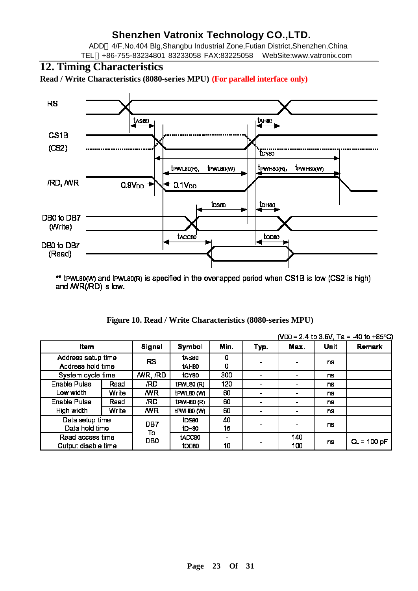ADD 4/F,No.404 Blg,Shangbu Industrial Zone,Futian District,Shenzhen,China TEL +86-755-83234801 83233058 FAX:83225058 WebSite:www.vatronix.com

### **12. Timing Characteristics**

**Read / Write Characteristics (8080-series MPU) (For parallel interface only)**



\*\* tPWL80(W) and tPWL80(R) is specified in the overlapped period when CS1B is low (CS2 is high) and /WR(/RD) is low.

|  | Figure 10. Read / Write Characteristics (8080-series MPU) |  |
|--|-----------------------------------------------------------|--|
|--|-----------------------------------------------------------|--|

|                                         |                   |               |                            |          |      |                          |           | (VDD = 2.4 to 3.6V, Ta = -40 to +85°C) |
|-----------------------------------------|-------------------|---------------|----------------------------|----------|------|--------------------------|-----------|----------------------------------------|
| Item                                    |                   | <b>Signal</b> | Symbol                     | Min.     | Typ. | Max.                     | Unit      | Remark                                 |
| Address setup time<br>Address hold time |                   | RS            | tasso<br>tAH <sub>80</sub> | 0<br>0   |      | $\overline{\phantom{a}}$ | ns        |                                        |
|                                         | System cycle time |               | tCY80                      | 300      |      |                          | <b>ns</b> |                                        |
| Enable Pulse                            | Read              | /RD           | $t$ PWL80 $(R)$            | 120      |      |                          | <b>ns</b> |                                        |
| Low width                               | Write             | /WR           | tPWL80 (W)                 | 60       |      |                          | ns        |                                        |
| Enable Pulse                            | Read              | /RD           | $H$ WH80 $(R)$             | 60       |      | $\blacksquare$           | ns        |                                        |
| High width                              | Write             | /WR           | tPWH80 (W)                 | 60       |      | $\overline{\phantom{0}}$ | <b>ns</b> |                                        |
| Data setup time<br>Data hold time       |                   | DB7           | tDS80<br>tDH80             | 40<br>15 |      | ۰                        | ns        |                                        |
| Read access time                        |                   | To<br>DB0     | tACC80                     |          |      | 140                      |           |                                        |
| Output disable time                     |                   |               | tOD80                      | 10       |      | 100                      | ns        | $CL = 100 pF$                          |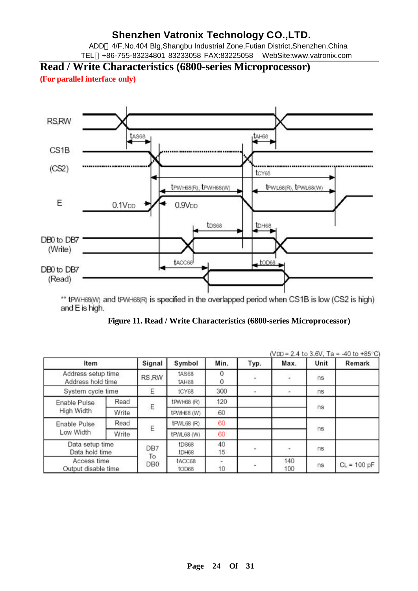ADD 4/F,No.404 Blg,Shangbu Industrial Zone,Futian District,Shenzhen,China TEL +86-755-83234801 83233058 FAX:83225058 WebSite:www.vatronix.com

**Read / Write Characteristics (6800-series Microprocessor)** 

**(For parallel interface only)**



\*\* tPWH68(W) and tPWH68(R) is specified in the overlapped period when CS1B is low (CS2 is high) and E is high.

**Figure 11. Read / Write Characteristics (6800-series Microprocessor)**

|                                                              |       |                       |                         |          |      | (VDD = 2.4 to 3.6V, Ta = -40 to +85°C) |          |               |  |
|--------------------------------------------------------------|-------|-----------------------|-------------------------|----------|------|----------------------------------------|----------|---------------|--|
| Item                                                         |       | Signal                | Symbol                  | Min.     | Typ. | Max.                                   | Unit     | Remark        |  |
| Address setup time<br>Address hold time<br>System cycle time |       | RS.RW<br>E            | tAS68<br>tAH68<br>tCY68 | 300      | ٠    | ÷.                                     | ns<br>ns |               |  |
|                                                              |       |                       |                         |          |      |                                        |          |               |  |
| Enable Pulse<br>High Width                                   | Read  | Ε                     | tPWH68 (R)              | 120      |      |                                        | ns       |               |  |
|                                                              | Write |                       | tPWH68 (W)              | 60       |      |                                        |          |               |  |
| Enable Pulse                                                 | Read  | Ε                     | tPWL68 (R)              | 60       |      |                                        | ns       |               |  |
| Low Width                                                    | Write |                       | tPWL68 (W)              | 60       |      |                                        |          |               |  |
| Data setup time<br>Data hold time                            |       | DB7                   | tDS68<br>tDH68          | 40<br>15 | -    | 溢                                      | ns       |               |  |
| Access time<br>Output disable time                           |       | To<br>DB <sub>0</sub> | tACC68<br>tOD68         | 10       |      | 140<br>100                             | ns       | $CL = 100 pF$ |  |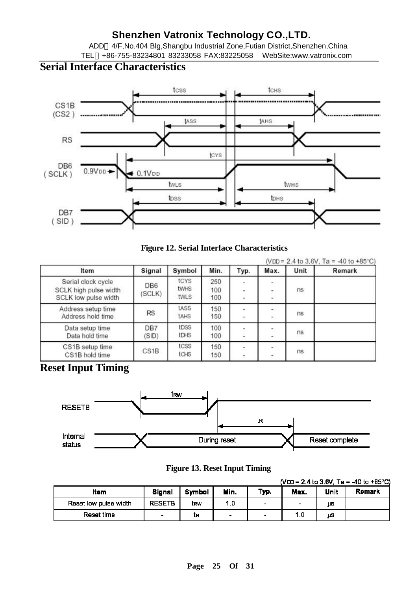ADD 4/F,No.404 Blg,Shangbu Industrial Zone,Futian District,Shenzhen,China TEL +86-755-83234801 83233058 FAX:83225058 WebSite:www.vatronix.com

# **Serial Interface Characteristics**



#### **Figure 12. Serial Interface Characteristics**

| Item                                                                | Signal                    | Symbol                      | Min.              | Typ.        | Max.                                                 | Unit | (VDD = 2.4 to 3.6V, Ta = $-40$ to +85°C)<br>Remark |
|---------------------------------------------------------------------|---------------------------|-----------------------------|-------------------|-------------|------------------------------------------------------|------|----------------------------------------------------|
| Serial clock cycle<br>SCLK high pulse width<br>SCLK low pulse width | DB <sub>6</sub><br>(SCLK) | tcys<br><b>twHS</b><br>twLS | 250<br>100<br>100 | $\,$<br>۰   | $\overline{\phantom{a}}$<br>$\overline{\phantom{a}}$ | ns   |                                                    |
| Address setup time<br>Address hold time                             | <b>RS</b>                 | tASS<br><b>tAHS</b>         | 150<br>150        | ÷           | ۰.                                                   | ns   |                                                    |
| Data setup time<br>Data hold time                                   | DB7<br>(SID)              | tDSS<br>tDHS                | 100<br>100        | ۰           |                                                      | ns   |                                                    |
| CS1B setup time<br>CS1B hold time                                   | CS1B                      | tcss<br>tCHS                | 150<br>150        | $\sim$<br>۰ | $\blacksquare$<br>÷                                  | ns   |                                                    |

# **Reset Input Timing**



**Figure 13. Reset Input Timing**

|                       |                |        |                |                          |                          |      | (VDD = 2.4 to 3.6V, Ta = -40 to +85°C) |
|-----------------------|----------------|--------|----------------|--------------------------|--------------------------|------|----------------------------------------|
| ltem                  | Signal         | Symbol | Min.           | Typ.                     | Max.                     | Unit | Remark                                 |
| Reset low pulse width | <b>RESETB</b>  | trw    | 1.0            | $\overline{\phantom{a}}$ | $\overline{\phantom{a}}$ | μS   |                                        |
| Reset time            | $\blacksquare$ | İR     | $\blacksquare$ | $\overline{\phantom{a}}$ | 1.0                      | μS   |                                        |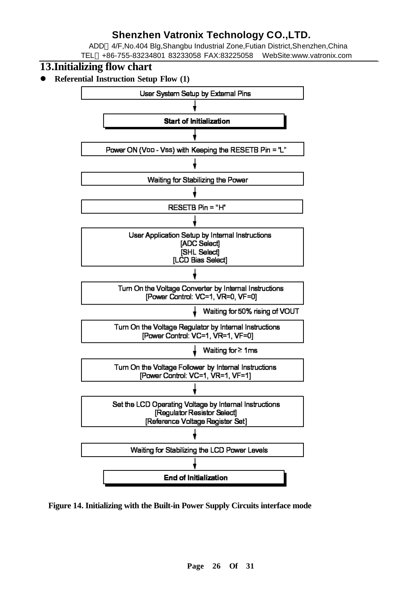ADD 4/F,No.404 Blg,Shangbu Industrial Zone,Futian District,Shenzhen,China TEL +86-755-83234801 83233058 FAX:83225058 WebSite:www.vatronix.com

### **13.Initializing flow chart**

**•** Referential Instruction Setup Flow (1)



**Figure 14. Initializing with the Built-in Power Supply Circuits interface mode**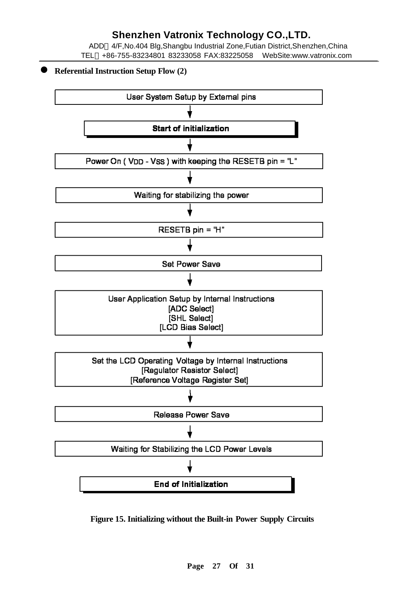ADD 4/F,No.404 Blg,Shangbu Industrial Zone,Futian District,Shenzhen,China TEL +86-755-83234801 83233058 FAX:83225058 WebSite:www.vatronix.com

#### l **Referential Instruction Setup Flow (2)**



**Figure 15. Initializing without the Built-in Power Supply Circuits**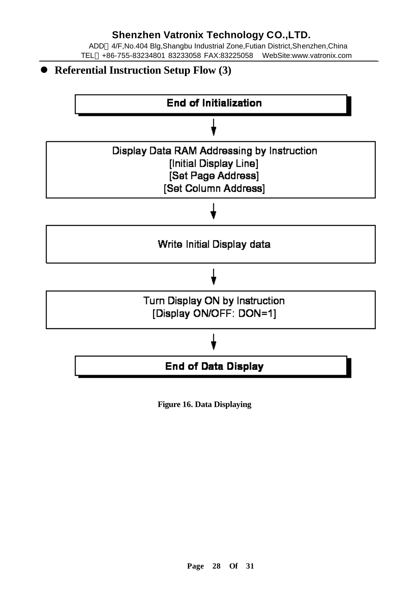ADD 4/F,No.404 Blg,Shangbu Industrial Zone,Futian District,Shenzhen,China TEL +86-755-83234801 83233058 FAX:83225058 WebSite:www.vatronix.com

**• Referential Instruction Setup Flow (3)** 



**Figure 16. Data Displaying**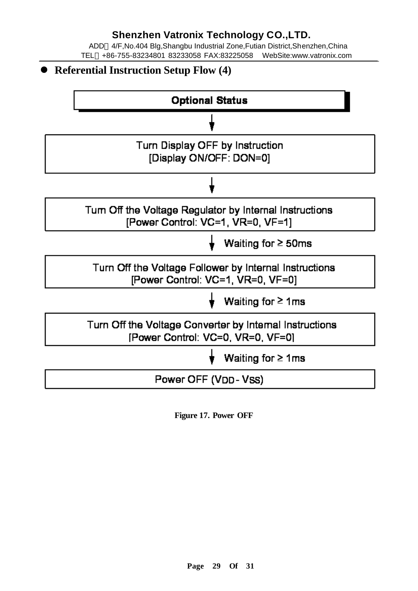ADD 4/F,No.404 Blg,Shangbu Industrial Zone,Futian District,Shenzhen,China TEL +86-755-83234801 83233058 FAX:83225058 WebSite:www.vatronix.com

**• Referential Instruction Setup Flow (4) Optional Status** Turn Display OFF by Instruction [Display ON/OFF: DON=0] Tum Off the Voltage Regulator by Internal Instructions [Power Control: VC=1, VR=0, VF=1] Waiting for  $\geq$  50ms Turn Off the Voltage Follower by Internal Instructions [Power Control: VC=1, VR=0, VF=0] Waiting for  $\geq 1$  ms Turn Off the Voltage Converter by Internal Instructions [Power Control: VC=0, VR=0, VF=0] Waiting for  $\geq 1$  ms Power OFF (VDD-VSS)

**Figure 17. Power OFF**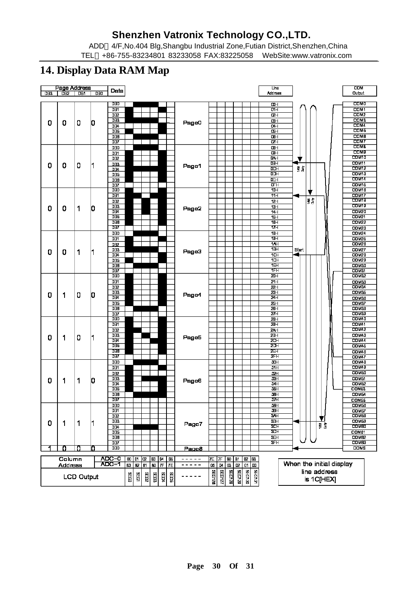ADD 4/F,No.404 Blg,Shangbu Industrial Zone,Futian District,Shenzhen,China TEL +86-755-83234801 83233058 FAX:83225058 WebSite:www.vatronix.com

### **14. Display Data RAM Map**